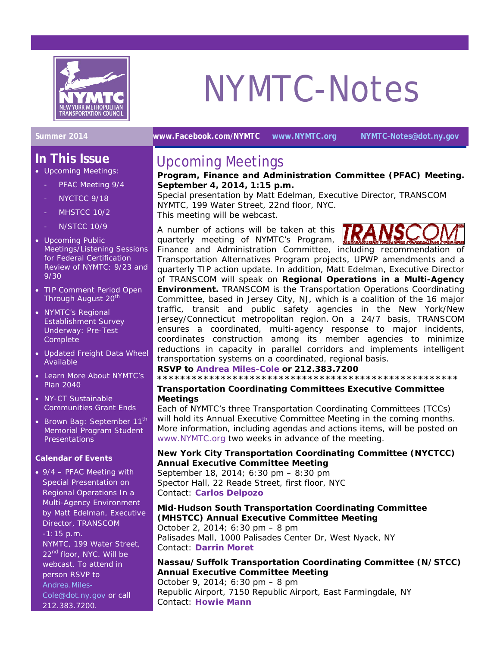

### **In This Issue**

- Upcoming Meetings: PFAC Meeting 9/4
	- NYCTCC 9/18
	- MHSTCC 10/2
	- N/STCC 10/9
- Upcoming Public Meetings/Listening Sessions for Federal Certification Review of NYMTC: 9/23 and 9/30
- TIP Comment Period Open Through August 20<sup>th</sup>
- NYMTC's Regional Establishment Survey Underway: Pre-Test Complete
- Updated Freight Data Wheel Available
- Learn More About NYMTC's Plan 2040
- NY-CT Sustainable Communities Grant Ends
- Brown Bag: September 11<sup>th</sup> Memorial Program Student **Presentations**

#### **Calendar of Events**

• 9/4 – PFAC Meeting with Special Presentation on *Regional Operations In a Multi-Agency Environment* by Matt Edelman, Executive Director, TRANSCOM -1:15 p.m. NYMTC, 199 Water Street, 22<sup>nd</sup> floor, NYC. Will be webcast. To attend in person RSVP to [Andrea.Miles-](mailto:Andrea.Miles-Cole@dot.ny.gov)[Cole@dot.ny.gov](mailto:Andrea.Miles-Cole@dot.ny.gov) or call 212.383.7200.

# NYMTC-Notes

**Summer 2014 [www.Facebook.com/NYMTC](http://www.facebook.com/NYMTC) [www.NYMTC.org](http://www.nymtc.org/) [NYMTC-Notes@dot.ny.gov](mailto:NYMTC-Notes@dot.ny.gov)** 

### Upcoming Meetings

#### **Program, Finance and Administration Committee (PFAC) Meeting. September 4, 2014, 1:15 p.m.**

*Special presentation by Matt Edelman, Executive Director, TRANSCOM* NYMTC, 199 Water Street, 22nd floor, NYC.

This meeting will be webcast.

A number of actions will be taken at this quarterly meeting of NYMTC's Program,



Finance and Administration Committee, including recommendation of Transportation Alternatives Program projects, UPWP amendments and a quarterly TIP action update. In addition, Matt Edelman, Executive Director of TRANSCOM will speak on **Regional Operations in a Multi-Agency Environment.** TRANSCOM is the Transportation Operations Coordinating Committee, based in Jersey City, NJ, which is a coalition of the 16 major traffic, transit and public safety agencies in the New York/New Jersey/Connecticut metropolitan region. On a 24/7 basis, TRANSCOM ensures a coordinated, multi-agency response to major incidents, coordinates construction among its member agencies to minimize reductions in capacity in parallel corridors and implements intelligent transportation systems on a coordinated, regional basis.

**RSVP to [Andrea Miles-Cole](mailto:andrea.miles-cole@dot.ny.gov) or 212.383.7200** 

**\*\*\*\*\*\*\*\*\*\*\*\*\*\*\*\*\*\*\*\*\*\*\*\*\*\*\*\*\*\*\*\*\*\*\*\*\*\*\*\*\*\*\*\*\*\*\*\*\*\*\*\*** 

#### **Transportation Coordinating Committees Executive Committee Meetings**

Each of NYMTC's three Transportation Coordinating Committees (TCCs) will hold its Annual Executive Committee Meeting in the coming months. More information, including agendas and actions items, will be posted on [www.NYMTC.org](http://www.nymtc.org/) two weeks in advance of the meeting.

#### **New York City Transportation Coordinating Committee (NYCTCC) Annual Executive Committee Meeting**

September 18, 2014; 6:30 pm – 8:30 pm Spector Hall, 22 Reade Street, first floor, NYC Contact: **[Carlos Delpozo](mailto:Carlos.Delpozo@dot.ny.gov)**

#### **Mid-Hudson South Transportation Coordinating Committee (MHSTCC) Annual Executive Committee Meeting**

October 2, 2014; 6:30 pm – 8 pm Palisades Mall, 1000 Palisades Center Dr, West Nyack, NY Contact: **[Darrin Moret](mailto:Darrin.Moret@dot.ny.gov)**

#### **Nassau/Suffolk Transportation Coordinating Committee (N/STCC) Annual Executive Committee Meeting**

October 9, 2014; 6:30 pm – 8 pm Republic Airport, 7150 Republic Airport, East Farmingdale, NY Contact: **[Howie Mann](mailto:howard.mann@dot.ny.gov)**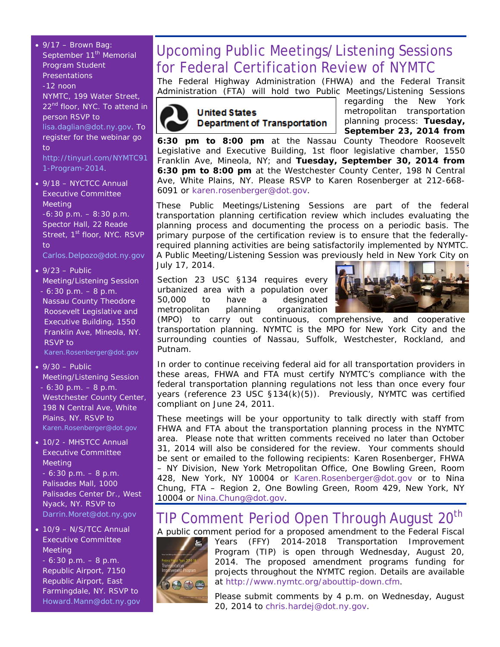$\bullet$  9/17 – Brown Bag: September 11<sup>th</sup> Memorial Program Student Presentations -12 noon NYMTC, 199 Water Street, 22<sup>nd</sup> floor, NYC. To attend in person RSVP to [lisa.daglian@dot.ny.gov.](mailto:lisa.daglian@dot.ny.gov) To register for the webinar go  $t<sub>0</sub>$ [http://tinyurl.com/NYMTC91](http://tinyurl.com/NYMTC911-Program-2014) [1-Program-2014](http://tinyurl.com/NYMTC911-Program-2014). • 9/18 – NYCTCC Annual Executive Committee Meeting -6:30 p.m. – 8:30 p.m. Spector Hall, 22 Reade Street, 1<sup>st</sup> floor, NYC. RSVP to [Carlos.Delpozo@dot.ny.gov](mailto:Carlos.Delpozo@dot.ny.gov)  $\bullet$  9/23 – Public Meeting/Listening Session - 6:30 p.m. – 8 p.m. Nassau County Theodore Roosevelt Legislative and Executive Building, 1550 Franklin Ave, Mineola, NY. RSVP to [Karen.Rosenberger@dot.gov](mailto:Karen.Rosenberger@dot.gov)   $\bullet$  9/30 – Public Meeting/Listening Session - 6:30 p.m. – 8 p.m. Westchester County Center, 198 N Central Ave, White Plains, NY. RSVP to [Karen.Rosenberger@dot.gov](mailto:Karen.Rosenberger@dot.gov) • 10/2 - MHSTCC Annual

Executive Committee Meeting  $-6:30$  p.m.  $-8$  p.m. Palisades Mall, 1000 Palisades Center Dr., West Nyack, NY. RSVP to [Darrin.Moret@dot.ny.gov](mailto:Darrin.Moret@dot.ny.gov)

• 10/9 - N/S/TCC Annual Executive Committee Meeting  $-6:30$  p.m.  $-8$  p.m. Republic Airport, 7150 Republic Airport, East Farmingdale, NY. RSVP to [Howard.Mann@dot.ny.gov](mailto:Howard.Mann@dot.ny.gov) 

## Upcoming Public Meetings/Listening Sessions for Federal Certification Review of NYMTC

The Federal Highway Administration (FHWA) and the Federal Transit Administration (FTA) will hold two Public Meetings/Listening Sessions



regarding the New York metropolitan transportation planning process: **Tuesday, September 23, 2014 from** 

**6:30 pm to 8:00 pm** at the Nassau County Theodore Roosevelt Legislative and Executive Building, 1st floor legislative chamber, 1550 Franklin Ave, Mineola, NY; and **Tuesday, September 30, 2014 from 6:30 pm to 8:00 pm** at the Westchester County Center, 198 N Central Ave, White Plains, NY. Please RSVP to Karen Rosenberger at 212-668- 6091 or [karen.rosenberger@dot.gov](mailto:karen.rosenberger@dot.gov).

These Public Meetings/Listening Sessions are part of the federal transportation planning certification review which includes evaluating the planning process and documenting the process on a periodic basis. The primary purpose of the certification review is to ensure that the federallyrequired planning activities are being satisfactorily impleme*n*ted by NYMTC. A Public Meeting/Listening Session was previously held in New York City on July 17, 2014.

Section 23 USC §134 requires every urbanized area with a population over 50,000 to have a designated metropolitan planning organization



(MPO) to carry out continuous, comprehensive, and cooperative transportation planning. NYMTC is the MPO for New York City and the surrounding counties of Nassau, Suffolk, Westchester, Rockland, and Putnam.

In order to continue receiving federal aid for all transportation providers in these areas, FHWA and FTA must certify NYMTC's compliance with the federal transportation planning regulations not less than once every four years (reference 23 USC §134(k)(5)). Previously, NYMTC was certified compliant on June 24, 2011.

These meetings will be your opportunity to talk directly with staff from FHWA and FTA about the transportation planning process in the NYMTC area. Please note that written comments received no later than October 31, 2014 will also be considered for the review. Your comments should be sent or emailed to the following recipients: Karen Rosenberger, FHWA – NY Division, New York Metropolitan Office, One Bowling Green, Room 428, New York, NY 10004 or [Karen.Rosenberger@dot.gov](mailto:Karen.Rosenberger@dot.gov) or to Nina Chung, FTA – Region 2, One Bowling Green, Room 429, New York, NY 10004 or [Nina.Chung@dot.gov](mailto:Nina.Chung@dot.gov).

### TIP Comment Period Open Through August 20<sup>th</sup>

A public comment period for a proposed amendment to the Federal Fiscal Years (FFY) 2014-2018 Transportation Improvement Program (TIP) is open through Wednesday, August 20, 2014. The proposed amendment programs funding for projects throughout the NYMTC region. Details are available at [http://www.nymtc.org/abouttip-down.cfm.](http://www.nymtc.org/abouttip-down.cfm)

> Please submit comments by 4 p.m. on Wednesday, August 20, 2014 to [chris.hardej@dot.ny.gov](mailto:chris.hardej@dot.ny.gov).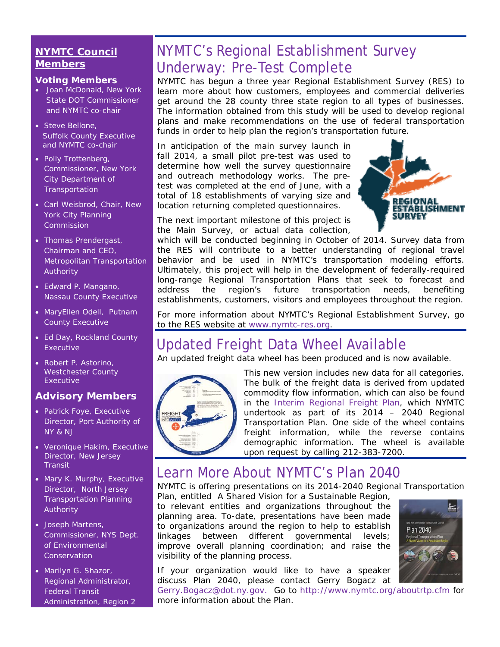### **NYMTC Council Members**

#### **Voting Members**

- Joan McDonald, New York State DOT Commissioner and NYMTC co-chair
- Steve Bellone, Suffolk County Executive and NYMTC co-chair
- Polly Trottenberg, Commissioner, New York City Department of **Transportation**
- Carl Weisbrod, Chair, New York City Planning Commission
- [Thomas Prendergast](http://www.mta.info/mta/leadership/ferrer.htm), Chairman and CEO, Metropolitan Transportation Authority
- Edward P. Mangano, Nassau County Executive
- MaryEllen Odell, Putnam County Executive
- Ed Day, Rockland County Executive
- Robert P. Astorino, Westchester County Executive

### **Advisory Members**

- Patrick Foye, Executive Director, Port Authority of NY & NJ
- Veronique Hakim, Executive Director, New Jersey **Transit**
- Mary K. Murphy, Executive Director, North Jersey Transportation Planning Authority
- Joseph Martens, Commissioner, NYS Dept. of Environmental **Conservation**
- Marilyn G. Shazor, Regional Administrator, Federal Transit Administration, Region 2

## NYMTC's Regional Establishment Survey Underway: Pre-Test Complete

NYMTC has begun a three year Regional Establishment Survey (RES) to learn more about how customers, employees and commercial deliveries get around the 28 county three state region to all types of businesses. The information obtained from this study will be used to develop regional plans and make recommendations on the use of federal transportation funds in order to help plan the region's transportation future.

In anticipation of the main survey launch in fall 2014, a small pilot pre-test was used to determine how well the survey questionnaire and outreach methodology works. The pretest was completed at the end of June, with a total of 18 establishments of varying size and location returning completed questionnaires.



The next important milestone of this project is the Main Survey, or actual data collection,

which will be conducted beginning in October of 2014. Survey data from the RES will contribute to a better understanding of regional travel behavior and be used in NYMTC's transportation modeling efforts. Ultimately, this project will help in the development of federally-required long-range Regional Transportation Plans that seek to forecast and address the region's future transportation needs, benefiting establishments, customers, visitors and employees throughout the region.

For more information about NYMTC's Regional Establishment Survey, go to the RES website at [www.nymtc-res.org](http://www.nymtc-res.org/).

## Updated Freight Data Wheel Available

An updated freight data wheel has been produced and is now available.



This new version includes new data for all categories. The bulk of the freight data is derived from updated commodity flow information, which can also be found in the [Interim Regional Freight Plan,](http://www.nymtc.org/files/RTP_PLAN_2040_docs/Public%20Review%20Drafts/Appendix8.pdf) which NYMTC undertook as part of its 2014 – 2040 Regional Transportation Plan. One side of the wheel contains freight information, while the reverse contains demographic information. The wheel is available upon request by calling 212-383-7200.

### Learn More About NYMTC's Plan 2040

NYMTC is offering presentations on its 2014-2040 Regional Transportation

Plan, entitled *A Shared Vision for a Sustainable Region,*  to relevant entities and organizations throughout the planning area. To-date, presentations have been made to organizations around the region to help to establish linkages between different governmental levels; improve overall planning coordination; and raise the visibility of the planning process.

**Plan 2040** 

If your organization would like to have a speaker discuss *Plan 2040*, please contact Gerry Bogacz at

[Gerry.Bogacz@dot.ny.gov](mailto:Gerry.Bogacz@dot.ny.gov). Go to <http://www.nymtc.org/aboutrtp.cfm>for more information about the Plan.